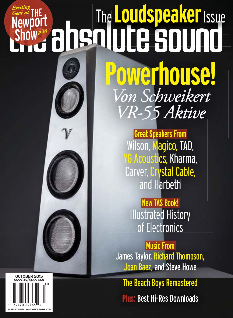# The **Loudspeaker** Issue *Gear at* THE Newport Show<sup>p20</sup> **BSOUT**

AY UNTIL NOVEMBER 20TH 2015 **TOBER 2015 \$6.99 US / \$6.99 CAN DISPLAY UNTIL NOVEMBER 20TH 2015** *Von Schweikert VR-55 Aktive* **Powerhouse!**

> Great Speakers From Wilson, Magico, TAD, **G Acoustics, Kharma,** Carver, Crystal Cable, and Harbeth

New TAS Book! Illustrated History of Electronics

Music From James Taylor, Richard Thompson, Joan Baez, and Steve Howe

The Beach Boys Remastered **Plus:** Best Hi-Res Downloads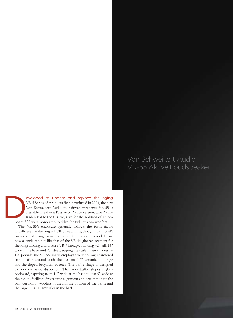eveloped to update and replace the aging VR-5 Series of products first introduced in 2004, the new Von Schweikert Audio four-driver, three-way VR-55 is available in either a Passive or Aktive version. The Aktive is identical to the Passive, save for the addition of an onboard 525-watt mono amp to drive the twin custom woofers.  $\begin{array}{c}\n\begin{array}{c}\n\uparrow \\
\downarrow \\
\downarrow \\
\downarrow \\
\downarrow \\
\downarrow\n\end{array}\n\end{array}$ 

> The VR-55's enclosure generally follows the form factor initially seen in the original VR-5 head units, though that model's two-piece stacking bass-module and mid/tweeter-module are now a single cabinet, like that of the VR-44 (the replacement for the longstanding and diverse VR-4 lineup). Standing 42" tall, 14" wide at the base, and 28" deep, tipping the scales at an impressive 190 pounds, the VR-55 Aktive employs a very narrow, chamfered front baffle around both the custom 6.5" ceramic midrange and the doped beryllium tweeter. The baffle shape is designed to promote wide dispersion. The front baffle slopes slightly backward, tapering from 14" wide at the base to just 9" wide at the top, to facilitate driver time alignment and accommodate the twin custom 8" woofers housed in the bottom of the baffle and the large Class D amplifier in the back.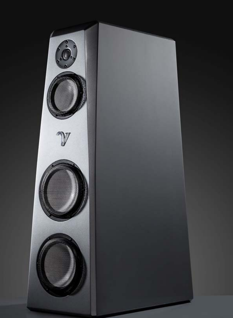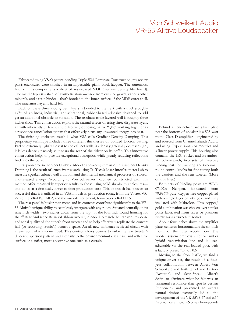Fabricated using VSA's patent-pending Triple-Wall Laminate Construction, my review pair's enclosures were finished in an impeccable piano-black lacquer. The outermost layer of this composite is a sheet of resin-based MDF (medium density fiberboard). The middle layer is a sheet of synthetic stone—made from crushed gravel, various other minerals, and a resin binder—that's bonded to the inner surface of the MDF outer shell. The innermost layer is hard felt.

Each of these three incongruent layers is bonded to the next with a thick (roughly  $1/5<sup>th</sup>$  of an inch), industrial, anti-vibrational, rubber-based adhesive designed to add yet an additional obstacle to vibration. The resultant triple-layered wall is roughly three inches thick. This construction exploits the natural effects of using three disparate layers, all with inherently different and effectively opposing native "Q's," working together as a resonance-cancellation system that effectively turns any unwanted energy into heat.

The finishing enclosure touch is what VSA calls Gradient Density Damping. This proprietary technique includes three different thicknesses of bonded Dacron batting. Packed extremely tightly closest to the cabinet walls, its density gradually decreases (i.e., it is less densely packed) as it nears the rear of the driver on its baffle. This innovative construction helps to provide exceptional absorption while greatly reducing reflections back into the cone.

First pioneered in the VSA UniField Model 3 speaker system in 2007, Gradient Density Damping is the result of extensive research using Cal Tech's Laser Interferometer Lab to measure speaker cabinet-wall vibration and the internal mechanical processes of storedand-released energy. According to Von Schweikert, cabinets constructed with this method offer measurably superior results to those using solid aluminum enclosures and do so at a drastically lower cabinet-production cost. This approach has proven so successful that it is utilized in all VSA models in production today, from the Vortex VR-22, to the VR-11SE Mk2, and the one-off, statement, four-tower VR-111XS.

The rear panel is busier than most, and its contents contribute significantly to the VR-55 Aktive's unique ability to seamlessly integrate with any room. Situated centrally on its nine-inch width—two inches down from the top—is the four-inch round housing for the 3" Rear Ambiance Retrieval ribbon tweeter, intended to match the transient response and tonal quality of the superb front tweeter and to help effectively replicate the concert hall (or recording studio's) acoustic space. An all-new ambience-retrieval circuit with a level control is also included. This control allows owners to tailor the rear tweeter's dipolar dispersion pattern and intensity to the environment—be it a hard and reflective surface or a softer, more absorptive one such as a curtain.

Behind a ten-inch-square silver plate near the bottom of speaker is a 525-watt mono Class D amplifier—engineered by and sourced from Channel Islands Audio, and using Hypex transistor modules and a linear power supply. This housing also contains the IEC socket and its amberlit rocker-switch, two sets of five-way binding posts for bi-wiring, and two small, round control knobs for fine-tuning both the woofers and the rear tweeter. (More on this later.)

Both sets of binding posts are WBT-0710Cu Nextgen, fabricated from 99.996% pure, oxygen-free copper plated with a single layer of 24k gold and fully insulated with Makrolon. This copper/ gold combination was chosen over similar posts fabricated from silver or platinum purely for its "sweeter" sonics.

About four inches above the amplifier plate, centered horizontally, is the six-inch mouth of the fluted woofer port. The woofer system employs a four-chamber hybrid transmission line and is useradjustable via the rear-loaded port, with a factory preset "Q" of 0.6.

Moving to the front baffle, we find a unique driver set, the result of a fouryear collaboration between Albert Von Schweikert and both Thiel and Partner (Accuton) and Scan-Speak. Albert's desire to eliminate what he felt was an unnatural resonance that spot-lit certain frequencies and prevented an overall natural timbre eventually led to the development of the VR-55's 8.5" and 6.5" Accuton ceramic-on-Nomex honeycomb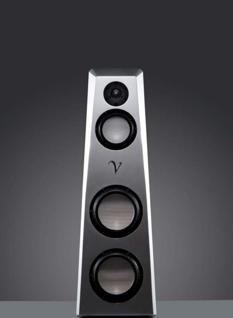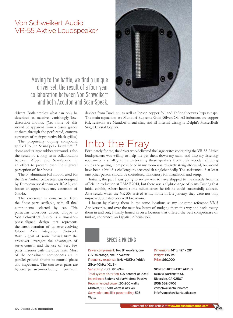Moving to the baffle, we find a unique driver set, the result of a four-year collaboration between Von Schweikert and both Accuton and Scan-Speak.



drivers. Both employ what can only be described as massive, vanishingly lowdistortion motors. (Yet none of this would be apparent from a casual glance at them through the perforated, concave curvature of their protective black grilles.)

The proprietary doping compound applied to the Scan-Speak beryllium 1" dome and its large rubber surround is also the result of a long-term collaboration between Albert and Scan-Speak, in an effort to prevent even the slightest perception of harshness.

The 3" aluminum-foil ribbon used for the Rear Ambiance Tweeter was designed by European speaker-maker RAAL, and boasts an upper frequency extension of 60kHz.

The crossover is constructed from the finest parts available, with all final components selected by ear. This particular crossover circuit, unique to Von Schweikert Audio, is a time-andphase-aligned design that represents the latest iteration of its ever-evolving Global Axis Integration Network. With a goal of sonic "invisibility," the crossover leverages the advantages of servo-control and the use of very few parts in series with the drive units. Most of the constituent components are in parallel ground shunts to control phase and impedance. The crossover parts are hyper-expensive—including premium devices from Duelund, as well as Jensen copper foil and Teflon/beeswax bypass caps. The main capacitors are Mundorf Supreme Gold/Silver/Oil. All inductors are copper foil, resistors are Mundorf metal film, and all internal wiring is Delphi's MasterBuilt Single Crystal Copper.

# Into the Fray

Fortunately for me, the driver who delivered the large crates containing the VR-55 Aktive loudspeakers was willing to help me get them down my stairs and into my listening room—for a small gratuity. Extricating these speakers from their wooden shipping crates and getting them positioned in my room was relatively straightforward, but would have been a bit of a challenge to accomplish singlehandedly. The assistance of at least one other person should be considered mandatory for installation and setup.

Initially, the pair I was going to review was to have shipped to me directly from its official introduction at RMAF 2014, but there was a slight change of plans. During that initial exhibit, Albert heard some minor issues he felt he could successfully address. As a result, when the VR-55s arrived at my home in late January, they were not only improved, but also very well broken-in.

I began by placing them in the same locations as my longtime reference VR-5 Anniversaries, and over the next few hours of nudging them this way and back, toeing them in and out, I finally honed in on a location that offered the best compromise of timbre, coherence, and spatial information.

#### SPECS & PRICING

Driver complement: Two 8" woofers, one 6.5" midrange, one 1" tweeter Frequency response: 16Hz–40KHz (–6db); 21Hz–40kHz (–2dB) Sensitivity: 90dB @ 1w/1m Total system distortion: 0.5 percent at 90dB Impedance: 8 ohms Aktive/4 ohms Passive Recommended power: 20–200 watts (Aktive), 100–500 watts (Passive) Subwoofer amplifier power rating: 525 Watts

Dimensions: 14" x 42" x 28" Weight: 186 lbs. Price: \$60,000

**VON SCHWEIKERT AUDIO** 

1040-A Northgate St. Riverside, CA 92507 (951) 682-0706 vonschweikertaudio.com info@vonschweikertaudio.com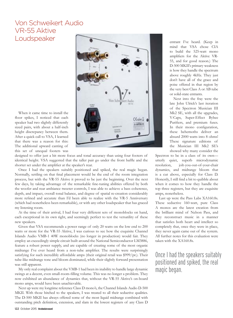When it came time to install the floor spikes, I noticed that each speaker had two slightly differently sized pairs, with about a half-inch height discrepancy between them. After a quick call to VSA, I learned that there was a reason for this: The additional upward canting of this set of unequal footers was



designed to offer just a bit more focus and tonal accuracy than using four footers of identical height. VSA suggested that the taller pair go under the front baffle and the shorter set under the amplifier at the speaker's rear.

Once I had the speakers suitably positioned and spiked, the real magic began. Normally, settling on that final placement would be the end of the room integration process, but with the VR-55 Aktive it proved to be just the beginning. Over the next few days, by taking advantage of the remarkable fine-tuning abilities offered by both the woofer and rear ambiance tweeter controls, I was able to achieve a bass coherence, depth, and impact, overall tonal balance, and degree of spatial re-creation considerably more refined and accurate than I'd been able to realize with the VR-5 Anniversary (which had nonetheless been remarkable), or with any other loudspeaker that has graced my listening room.

At the time of their arrival, I had four very different sets of monoblocks on hand, each exceptional in its own right, and seemingly perfect to test the versatility of these new speakers.

Given that VSA recommends a power range of only 20 watts on the low end to 200 watts or more for the VR-55 Aktive, I was curious to see how the exquisite Channel Islands Audio VMB-1 40W monoblocks (no longer in production) would fair. They employ an exceedingly simple circuit built around the National Semiconductor LM3886, feature a robust power supply, and are capable of creating some of the most organic midrange I've ever heard from a non-tube amplifier. The results were surprisingly satisfying for such incredibly affordable amps (their original retail was \$999/pr.). Their tube-like midrange tone and bloom dominated, while their slightly forward presentation was still apparent.

My only real complaint about the VMB-1 had been its inability to handle large dynamic swings at a decent, even small-room-filling volume. This was no longer a problem. They now exhibited an abundance of dynamics that, without the VR-55 Aktive's on-board mono amps, would have been unachievable.

Next up were my longtime reference Class D mono's, the Channel Islands Audio D-500 MKII. With those hitched to the speakers, I was treated to all their seductive qualities. The D-500 MKII has always offered some of the most liquid midrange combined with outstanding pitch definition, extension, and slam in the lowest registers of any Class D entrant I've heard. (Keep in mind that VSA chose CIA to build the 525-watt mono amplifiers for the Aktive VR-55, and for good reason.) The D-500 MKII's primary weakness is how they handle the spectrum above roughly 4kHz. They just don't have all of the grace and poise offered in that region by the very best Class A or AB tube or solid-state entrants.

Next into the fray were the late John Ulrick's last iteration of the Spectron Musician III Mk2 SE, with all the upgrades, V-Caps, Super-Effect Bybee Purifiers, and premium fuses. In their mono configuration, these behemoths deliver an absurd 2000 watts into 8 ohms! These signature editions of the Musician III Mk2 SE's showed why many consider the

Spectron to be in a class of its own utterly quiet, superb microdynamic resolution, jolt-you-out-of-your-chair dynamics, and midrange bloom that is a cut above, especially for Class D. Honestly, I still find a bit to quibble about when it comes to how they handle the top three registers, but they are exquisite amps, nonetheless.

Last up were the Pass Labs XA160.8s. These seductive 160-watt, pure Class A monos are the latest creation from the brilliant mind of Nelson Pass, and they reconstruct music in a manner that satisfies both heart and intellect so completely that, once they were in place, they never again came out of the system. All further notes for this evaluation were taken with the XA160.8s.

Once I had the speakers suitably positioned and spiked, the real magic began.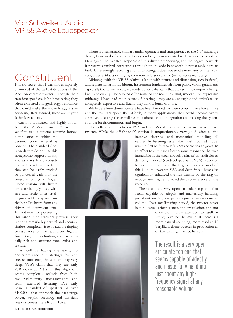# Constituent

It is no secret that I was not completely enamored of the earliest iterations of the Accuton ceramic woofers. Though their transient speed could be intoxicating, they often exhibited a ragged, edgy, resonance that could make them overly aggressive sounding. Rest assured, these aren't your father's Accutons.

Custom fabricated and highly modified, the VR-55's twin 8.5" Accuton woofers use a unique ceramic honey-

comb lattice to which the ceramic cone material is bonded. The standard Accuton drivers do not use this honeycomb support matrix, and as a result are considerably less robust. In fact, they can be easily cracked or punctured with only the pressure of your finger. These custom-built drivers are astonishingly fast, with rise and settle times rivaling—possibly surpassing the best I've heard from any driver of equivalent size. In addition to possessing

this astonishing transient prowess, they tender a remarkably natural and accurate timbre, completely free of audible ringing or resonance to my ears, and very high in fine detail, pitch definition, and harmonically rich and accurate tonal color and texture.

As well as having the ability to accurately execute blisteringly fast and precise transients, the woofers play very deep. VSA's claim that they are only 2dB down at 21Hz in this alignment seems completely realistic from both my rudimentary measurements and from extended listening. I've only heard a handful of speakers, all over \$100,000, that approach the bass-range power, weight, accuracy, and transient responsiveness the VR-55 Aktive.

There is a remarkably similar familial openness and transparency to the 6.5" midrange driver, fabricated of the same honeycombed, ceramic-coated materials as the woofers. Here again, the transient response of this driver is unnerving, and the degree to which it preserves timbral correctness throughout its wide bandwidth is remarkably hard to fault. Unrelentingly revealing and hard-hitting, it does not tend toward any of the usual congestive artifacts or ringing common in lesser ceramic (or non-ceramic) designs.

Midrange with the VR-55 Aktive is laden with texture and dimension, rich in detail, and replete in harmonic bloom. Instrument fundamentals from piano, violin, guitar, and especially the human voice, are rendered so realistically that they seem to conjure a living, breathing quality. The VR-55s offer some of the most beautiful, smooth, and expressive midrange I have had the pleasure of hearing—they are so engaging and articulate, so completely expressive and fluent, they almost burst with life.

While beryllium dome tweeters have been favored for their comparatively lower mass and the resultant speed that affords, in many applications, they could become overly assertive, affecting the overall system coherence and integration and making the system sound a bit discontinuous and bright.

The collaboration between VSA and Scan-Speak has resulted in an extraordinary tweeter. While the off-the-shelf version is unquestionably very good, after all the



The result is a very open, articulate top end that seems capable of adeptly and masterfully handling just about any high-frequency signal at any reasonable volume. Over my listening period, the tweeter never lost its overall effortlessness and articulation, and not

> once did it draw attention to itself; it simply revealed the music. If there is a more natural-sounding, more resolute 1" beryllium dome tweeter in production as of this writing, I've not heard it.

The result is a very open, articulate top end that seems capable of adeptly and masterfully handling just about any highfrequency signal at any reasonable volume.



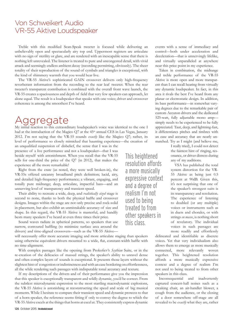Treble with this modified Scan-Speak tweeter is focused while delivering an unbelievably open and spectacularly airy top end. Uppermost registers are articulate with no sign of sterility or glare, and are rendered with an inescapable sense that there is nothing left unrevealed. The listener is treated to pure and uncongested detail, with vivid attack and seemingly endless ambient decay (recording permitting, obviously). The sheer totality of their reproduction of the sound of cymbals and triangles is exceptional, with the kind of shimmery warmth that you would hear live.

The VR-55 Aktive's sophisticated GAIN crossover delivers only high-frequency reverberant information from the recording to the rear leaf tweeter. When the rear tweeter's transparent contribution is combined with the overall front wave launch, the VR-55 creates a spaciousness and depth of field that very few speakers can approach, let alone equal. The result is a loudspeaker that speaks with one voice; driver and crossover coherence is among the smoothest I've heard.

### Aggregate

My initial reaction to this extraordinary loudspeaker's voice was identical to the one I had at the introduction of the Magico Q7 at the 45<sup>th</sup> annual CES in Las Vegas, January 2012. I'm not saying that the VR-55 sounds *exactly* like the Magico Q7; rather, its level of performance so closely mimicked that haunting experience—the creation of

an unqualified suspension of disbelief, the sense that I was in the presence of a live performance and not a loudspeaker—that I was beside myself with astonishment. When you recall that the VR-55 sells for one-third the price of the Q7 (in 2012), that makes the experience all the more remarkable!

Right from the crate (as noted, they were well broken-in), the VR-55s offered uncanny broadband pitch definition; lucid, airy, and detailed high-frequency performance; a vibrant, engaging, and tonally pure midrange; deep, articulate, impactful bass—and an unnerving level of transparency and transient speed.

Their ability to recreate a wide, deep, and *realistically sized* stage is second to none, thanks to both the physical baffle and crossover designs. Images within the stage are not only precise and rock-solid in placement, but also exhibit an unmistakable accuracy of size and shape. In this regard, the VR-55 Aktive is masterful, and handily bests many speakers I've heard at even three times their price.

Sound waves radiate in spherical patterns, so speakers that use narrow, contoured baffling (to minimize surface area around the drivers) and time-aligned crossovers—such as the VR-55 Aktive—

will necessarily offer more accurate imaging and more articulate staging than speakers using otherwise equivalent drivers mounted to a wide, flat, constant-width baffle with no time-alignment.

With complex passages like the opening from Prokofiev's *Scythian* Suite, or in the re-creation of the delicacies of massed strings, the speaker's ability to unravel dense and often complex layers of sounds is exceptional. It presents those layers without the slightest hint of congestion or indistinctness and with an ease bordering on effortlessness, all the while rendering such passages with indisputable tonal accuracy and texture.

If my descriptions of the drivers and of their performance give you the impression that this speaker is exceptionally transparent and wildly dynamic, you'd be correct. From the subtlest microdynamic expression to the most startling macrodynamic explosions, the VR-55 Aktive is astonishing at reconstructing the speed and scale of big musical moments. While I hesitate to compare their transient speed and dynamic prowess to that of a horn speaker, the reference seems fitting if only to convey the degree to which the VR-55 Aktive excels at the things that horns at excel at. They consistently express dynamic

This heightened resolution affords a more musically expressive context and a degree of realism I'm not used to being treated to from other speakers in this class.

events with a sense of immediacy and control—both under acceleration and deceleration—that is unnervingly lifelike, and virtually unparalleled at anywhere near this price point in my experience.

Taken in combination, the midrange and treble performance of the VR-55 Aktive is more open and more transparent than I can recall hearing from virtually any dynamic loudspeaker. In fact, in this area it rivals the best I've heard from any planar or electrostatic design. In addition, its bass performance—in somewhat varying degrees due to the remarkable pair of custom Accuton drivers and the dedicated 525-watt, fully adjustable mono amp simply needs to be experienced to be fully appreciated. Taut, deep, and lightning-fast, it differentiates pitches and timbres with an ease and accuracy that are nearly unmatched. Try as I might (and believe me,

I really tried), I could not detect the faintest hint of ringing, resonance, or driver distress during any of my auditions.

VSA has published the total system distortion for the VR-55 Aktive as being just 0.5 percent at 90dB. Given this, it's not surprising that one of the speaker's strongest suits is its transparency and resolution. The experience of listening to doubled (or any multiple) voices or instruments such as in duets and chorales, or with strings *en masse*, is nothing short of revelatory. The individual voices in such passages are more readily and effortlessly

delineated and identifiable as discrete voices. Yet that very individualism also allows them to emerge as more musically connected, more relevantly woven together. This heightened resolution affords a more musically expressive context and a degree of realism I'm not used to being treated to from other speakers in this class.

Inconsequential and inadvertently captured concert-hall noises such as a creaking chair, an air-handler blower, a cough from the audience, or the closing of a door somewhere off-stage are all revealed to be *exactly* what they are, rather